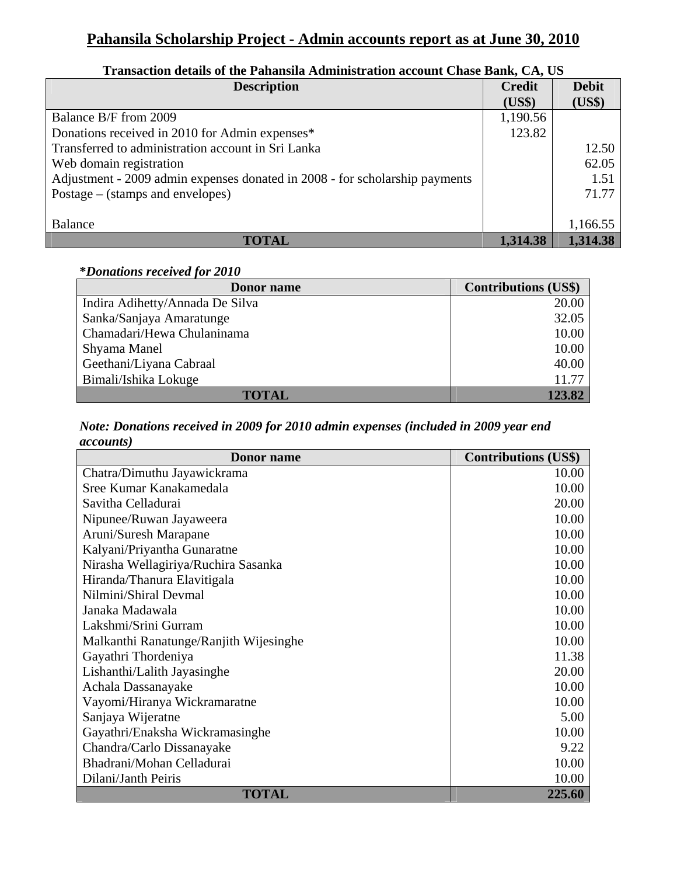# **Pahansila Scholarship Project - Admin accounts report as at June 30, 2010**

| <b>Description</b>                                                          | <b>Credit</b><br>(US\$) | <b>Debit</b><br>(US\$) |
|-----------------------------------------------------------------------------|-------------------------|------------------------|
| Balance B/F from 2009                                                       | 1,190.56                |                        |
| Donations received in 2010 for Admin expenses*                              | 123.82                  |                        |
| Transferred to administration account in Sri Lanka                          |                         | 12.50                  |
| Web domain registration                                                     |                         | 62.05                  |
| Adjustment - 2009 admin expenses donated in 2008 - for scholarship payments |                         | 1.51                   |
| Postage $-$ (stamps and envelopes)                                          |                         | 71.77                  |
|                                                                             |                         |                        |
| Balance                                                                     |                         | 1,166.55               |
| <b>TOTAL</b>                                                                | 1,314.38                | 1,314.38               |

## **Transaction details of the Pahansila Administration account Chase Bank, CA, US**

#### **\****Donations received for 2010*

| Donor name                      | <b>Contributions (US\$)</b> |
|---------------------------------|-----------------------------|
| Indira Adihetty/Annada De Silva | 20.00                       |
| Sanka/Sanjaya Amaratunge        | 32.05                       |
| Chamadari/Hewa Chulaninama      | 10.00                       |
| Shyama Manel                    | 10.00                       |
| Geethani/Liyana Cabraal         | 40.00                       |
| Bimali/Ishika Lokuge            | 11.77                       |
| TOTAL                           | 123.82                      |

#### *Note: Donations received in 2009 for 2010 admin expenses (included in 2009 year end accounts)*

| <b>Donor</b> name                      | <b>Contributions (US\$)</b> |
|----------------------------------------|-----------------------------|
| Chatra/Dimuthu Jayawickrama            | 10.00                       |
| Sree Kumar Kanakamedala                | 10.00                       |
| Savitha Celladurai                     | 20.00                       |
| Nipunee/Ruwan Jayaweera                | 10.00                       |
| Aruni/Suresh Marapane                  | 10.00                       |
| Kalyani/Priyantha Gunaratne            | 10.00                       |
| Nirasha Wellagiriya/Ruchira Sasanka    | 10.00                       |
| Hiranda/Thanura Elavitigala            | 10.00                       |
| Nilmini/Shiral Devmal                  | 10.00                       |
| Janaka Madawala                        | 10.00                       |
| Lakshmi/Srini Gurram                   | 10.00                       |
| Malkanthi Ranatunge/Ranjith Wijesinghe | 10.00                       |
| Gayathri Thordeniya                    | 11.38                       |
| Lishanthi/Lalith Jayasinghe            | 20.00                       |
| Achala Dassanayake                     | 10.00                       |
| Vayomi/Hiranya Wickramaratne           | 10.00                       |
| Sanjaya Wijeratne                      | 5.00                        |
| Gayathri/Enaksha Wickramasinghe        | 10.00                       |
| Chandra/Carlo Dissanayake              | 9.22                        |
| Bhadrani/Mohan Celladurai              | 10.00                       |
| Dilani/Janth Peiris                    | 10.00                       |
| <b>TOTAL</b>                           | 225.60                      |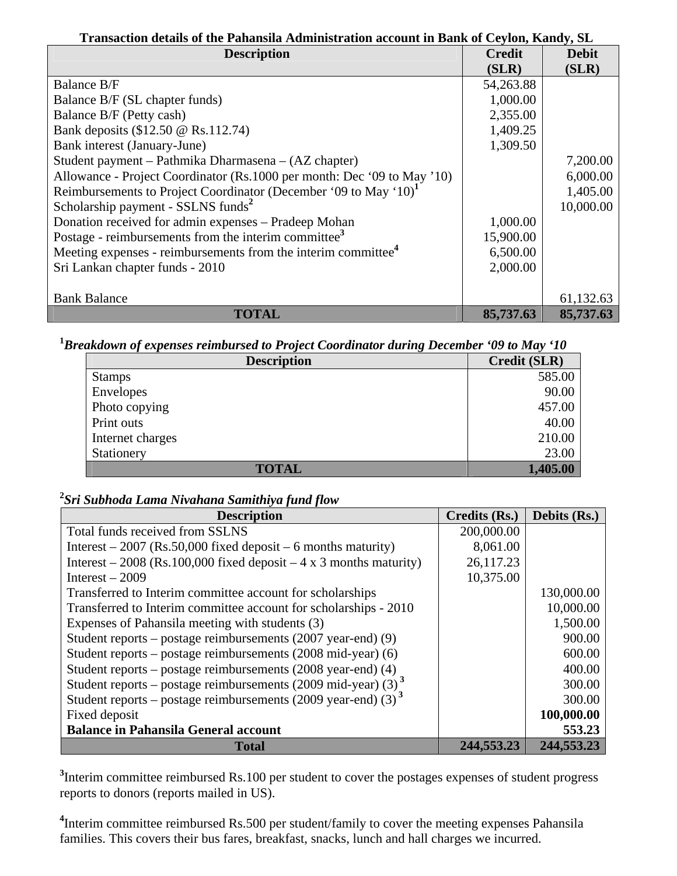# **Transaction details of the Pahansila Administration account in Bank of Ceylon, Kandy, SL**

| <b>Description</b>                                                           | <b>Credit</b> | <b>Debit</b> |
|------------------------------------------------------------------------------|---------------|--------------|
|                                                                              | (SLR)         | (SLR)        |
| <b>Balance B/F</b>                                                           | 54,263.88     |              |
| Balance B/F (SL chapter funds)                                               | 1,000.00      |              |
| Balance B/F (Petty cash)                                                     | 2,355.00      |              |
| Bank deposits (\$12.50 @ Rs.112.74)                                          | 1,409.25      |              |
| Bank interest (January-June)                                                 | 1,309.50      |              |
| Student payment – Pathmika Dharmasena – (AZ chapter)                         |               | 7,200.00     |
| Allowance - Project Coordinator (Rs.1000 per month: Dec '09 to May '10)      |               | 6,000.00     |
| Reimbursements to Project Coordinator (December '09 to May '10) <sup>1</sup> |               | 1,405.00     |
| Scholarship payment - SSLNS funds <sup>2</sup>                               |               | 10,000.00    |
| Donation received for admin expenses - Pradeep Mohan                         | 1,000.00      |              |
| Postage - reimbursements from the interim committee <sup>3</sup>             | 15,900.00     |              |
| Meeting expenses - reimbursements from the interim committee <sup>4</sup>    | 6,500.00      |              |
| Sri Lankan chapter funds - 2010                                              | 2,000.00      |              |
|                                                                              |               |              |
| <b>Bank Balance</b>                                                          |               | 61,132.63    |
| <b>TOTAL</b>                                                                 | 85,737.63     | 85,737.63    |

## **1** *Breakdown of expenses reimbursed to Project Coordinator during December '09 to May '10*

| <b>Description</b> | Credit (SLR) |
|--------------------|--------------|
| <b>Stamps</b>      | 585.00       |
| Envelopes          | 90.00        |
| Photo copying      | 457.00       |
| Print outs         | 40.00        |
| Internet charges   | 210.00       |
| Stationery         | 23.00        |
| <b>TOTAL</b>       | 1,405.00     |

### **2** *Sri Subhoda Lama Nivahana Samithiya fund flow*

| <b>Description</b>                                                        | Credits (Rs.) | Debits (Rs.) |
|---------------------------------------------------------------------------|---------------|--------------|
| Total funds received from SSLNS                                           | 200,000.00    |              |
| Interest $-2007$ (Rs.50,000 fixed deposit $-6$ months maturity)           | 8,061.00      |              |
| Interest – 2008 (Rs.100,000 fixed deposit – 4 x 3 months maturity)        | 26,117.23     |              |
| Interest $-2009$                                                          | 10,375.00     |              |
| Transferred to Interim committee account for scholarships                 |               | 130,000.00   |
| Transferred to Interim committee account for scholarships - 2010          |               | 10,000.00    |
| Expenses of Pahansila meeting with students (3)                           |               | 1,500.00     |
| Student reports – postage reimbursements $(2007 \text{ year-end})$ (9)    |               | 900.00       |
| Student reports – postage reimbursements $(2008 \text{ mid-year})$ (6)    |               | 600.00       |
| Student reports - postage reimbursements (2008 year-end) (4)              |               | 400.00       |
| Student reports – postage reimbursements (2009 mid-year) (3) <sup>3</sup> |               | 300.00       |
| Student reports – postage reimbursements (2009 year-end) (3) <sup>3</sup> |               | 300.00       |
| Fixed deposit                                                             |               | 100,000.00   |
| <b>Balance in Pahansila General account</b>                               |               | 553.23       |
| <b>Total</b>                                                              | 244,553.23    | 244,553.23   |

<sup>3</sup>Interim committee reimbursed Rs.100 per student to cover the postages expenses of student progress reports to donors (reports mailed in US).

<sup>4</sup>Interim committee reimbursed Rs.500 per student/family to cover the meeting expenses Pahansila families. This covers their bus fares, breakfast, snacks, lunch and hall charges we incurred.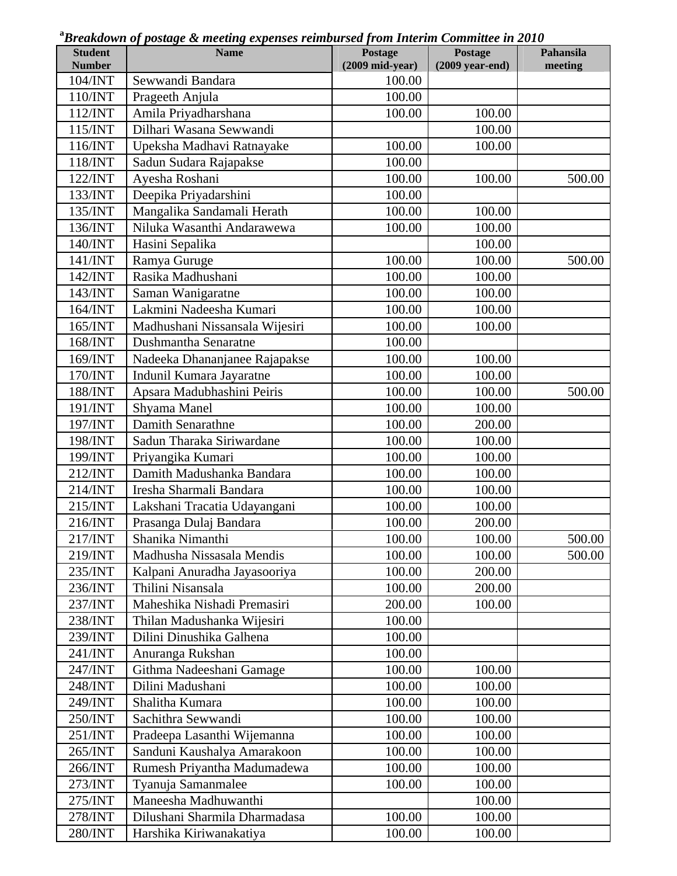| <b>Student</b><br><b>Number</b> | $\sim$ $\sim$ $\sim$<br><b>Name</b> | Postage<br>$(2009$ mid-year) | Postage                   | Pahansila<br>meeting |
|---------------------------------|-------------------------------------|------------------------------|---------------------------|----------------------|
| 104/INT                         | Sewwandi Bandara                    | 100.00                       | $(2009 \text{ year-end})$ |                      |
| 110/INT                         | Prageeth Anjula                     | 100.00                       |                           |                      |
| 112/INT                         | Amila Priyadharshana                | 100.00                       | 100.00                    |                      |
| 115/INT                         | Dilhari Wasana Sewwandi             |                              | 100.00                    |                      |
| 116/INT                         |                                     | 100.00                       | 100.00                    |                      |
|                                 | Upeksha Madhavi Ratnayake           |                              |                           |                      |
| 118/INT                         | Sadun Sudara Rajapakse              | 100.00                       |                           |                      |
| 122/INT                         | Ayesha Roshani                      | 100.00                       | 100.00                    | 500.00               |
| 133/INT                         | Deepika Priyadarshini               | 100.00                       |                           |                      |
| 135/INT                         | Mangalika Sandamali Herath          | 100.00                       | 100.00                    |                      |
| 136/INT                         | Niluka Wasanthi Andarawewa          | 100.00                       | 100.00                    |                      |
| 140/INT                         | Hasini Sepalika                     |                              | 100.00                    |                      |
| 141/INT                         | Ramya Guruge                        | 100.00                       | 100.00                    | 500.00               |
| 142/INT                         | Rasika Madhushani                   | 100.00                       | 100.00                    |                      |
| 143/INT                         | Saman Wanigaratne                   | 100.00                       | 100.00                    |                      |
| 164/INT                         | Lakmini Nadeesha Kumari             | 100.00                       | 100.00                    |                      |
| 165/INT                         | Madhushani Nissansala Wijesiri      | 100.00                       | 100.00                    |                      |
| 168/INT                         | Dushmantha Senaratne                | 100.00                       |                           |                      |
| 169/INT                         | Nadeeka Dhananjanee Rajapakse       | 100.00                       | 100.00                    |                      |
| 170/INT                         | Indunil Kumara Jayaratne            | 100.00                       | 100.00                    |                      |
| 188/INT                         | Apsara Madubhashini Peiris          | 100.00                       | 100.00                    | 500.00               |
| 191/INT                         | Shyama Manel                        | 100.00                       | 100.00                    |                      |
| 197/INT                         | Damith Senarathne                   | 100.00                       | 200.00                    |                      |
| 198/INT                         | Sadun Tharaka Siriwardane           | 100.00                       | 100.00                    |                      |
| 199/INT                         | Priyangika Kumari                   | 100.00                       | 100.00                    |                      |
| 212/INT                         | Damith Madushanka Bandara           | 100.00                       | 100.00                    |                      |
| 214/INT                         | Iresha Sharmali Bandara             | 100.00                       | 100.00                    |                      |
| 215/INT                         | Lakshani Tracatia Udayangani        | 100.00                       | 100.00                    |                      |
| 216/INT                         | Prasanga Dulaj Bandara              | 100.00                       | 200.00                    |                      |
| 217/INT                         | Shanika Nimanthi                    | 100.00                       | 100.00                    | 500.00               |
| 219/INT                         | Madhusha Nissasala Mendis           | 100.00                       | 100.00                    | 500.00               |
| 235/INT                         | Kalpani Anuradha Jayasooriya        | 100.00                       | 200.00                    |                      |
| 236/INT                         | Thilini Nisansala                   | 100.00                       | 200.00                    |                      |
| 237/INT                         | Maheshika Nishadi Premasiri         | 200.00                       | 100.00                    |                      |
| 238/INT                         | Thilan Madushanka Wijesiri          | 100.00                       |                           |                      |
| 239/INT                         | Dilini Dinushika Galhena            | 100.00                       |                           |                      |
| 241/INT                         | Anuranga Rukshan                    | 100.00                       |                           |                      |
| 247/INT                         | Githma Nadeeshani Gamage            | 100.00                       | 100.00                    |                      |
| 248/INT                         | Dilini Madushani                    | 100.00                       | 100.00                    |                      |
| 249/INT                         | Shalitha Kumara                     | 100.00                       | 100.00                    |                      |
| 250/INT                         | Sachithra Sewwandi                  | 100.00                       | 100.00                    |                      |
| 251/INT                         | Pradeepa Lasanthi Wijemanna         | 100.00                       | 100.00                    |                      |
| 265/INT                         | Sanduni Kaushalya Amarakoon         | 100.00                       | 100.00                    |                      |
| 266/INT                         | Rumesh Priyantha Madumadewa         | 100.00                       | 100.00                    |                      |
| 273/INT                         | Tyanuja Samanmalee                  | 100.00                       | 100.00                    |                      |
| 275/INT                         | Maneesha Madhuwanthi                |                              | 100.00                    |                      |
| 278/INT                         | Dilushani Sharmila Dharmadasa       | 100.00                       | 100.00                    |                      |
| 280/INT                         | Harshika Kiriwanakatiya             | 100.00                       | 100.00                    |                      |

**a** *Breakdown of postage & meeting expenses reimbursed from Interim Committee in 2010*